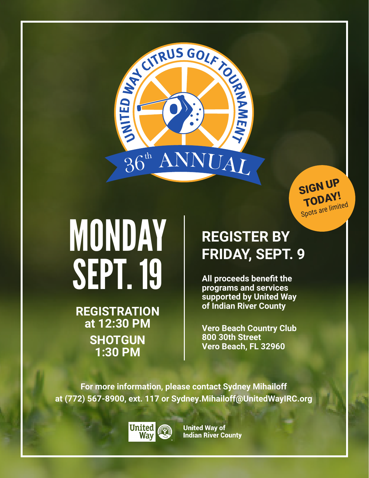

SIGN UP TODAY! Spots are limited

# MONDAY SEPT. 19

**REGISTRATION at 12:30 PM SHOTGUN 1:30 PM**

## **REGISTER BY FRIDAY, SEPT. 9**

**All proceeds benefit the programs and services supported by United Way of Indian River County**

**Vero Beach Country Club 800 30th Street Vero Beach, FL 32960**

**For more information, please contact Sydney Mihailoff at (772) 567-8900, ext. 117 or Sydney.Mihailoff@UnitedWayIRC.org**



**United Way of Indian River County**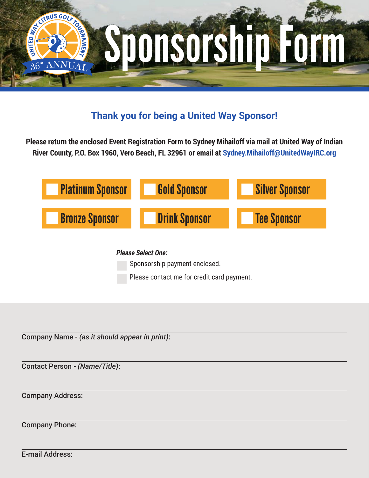

### **Thank you for being a United Way Sponsor!**

**Please return the enclosed Event Registration Form to Sydney Mihailoff via mail at United Way of Indian River County, P.O. Box 1960, Vero Beach, FL 32961 or email at Sydney.Mihailoff@UnitedWayIRC.org**



Sponsorship payment enclosed.

Please contact me for credit card payment.

Company Name - *(as it should appear in print)*:

Contact Person - *(Name/Title)*:

Company Address:

Company Phone:

E-mail Address: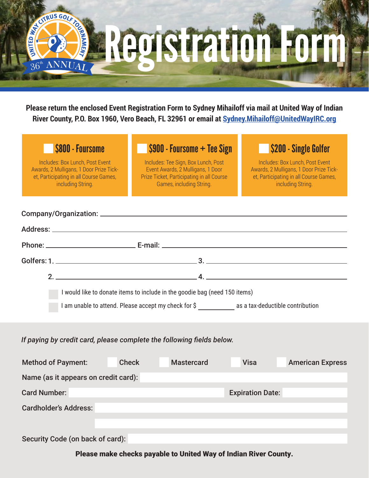

**Please return the enclosed Event Registration Form to Sydney Mihailoff via mail at United Way of Indian River County, P.O. Box 1960, Vero Beach, FL 32961 or email at Sydney.Mihailoff@UnitedWayIRC.org**

Includes: Box Lunch, Post Event Awards, 2 Mulligans, 1 Door Prize Ticket, Participating in all Course Games, including String.

#### \$800 - Foursome \$900 - Foursome + Tee Sign \$200 - Single Golfer

Includes: Tee Sign, Box Lunch, Post Event Awards, 2 Mulligans, 1 Door Prize Ticket, Participating in all Course Games, including String.

Includes: Box Lunch, Post Event Awards, 2 Mulligans, 1 Door Prize Ticket, Participating in all Course Games, including String.

|                                                                            | $\overline{a}$ $\overline{a}$ $\overline{a}$ $\overline{a}$ $\overline{a}$ $\overline{a}$ $\overline{a}$ $\overline{a}$ $\overline{a}$ $\overline{a}$ $\overline{a}$ $\overline{a}$ $\overline{a}$ $\overline{a}$ $\overline{a}$ $\overline{a}$ $\overline{a}$ $\overline{a}$ $\overline{a}$ $\overline{a}$ $\overline{a}$ $\overline{a}$ $\overline{a}$ $\overline{a}$ $\overline{$ |  |  |  |  |  |  |
|----------------------------------------------------------------------------|--------------------------------------------------------------------------------------------------------------------------------------------------------------------------------------------------------------------------------------------------------------------------------------------------------------------------------------------------------------------------------------|--|--|--|--|--|--|
| I would like to donate items to include in the goodie bag (need 150 items) |                                                                                                                                                                                                                                                                                                                                                                                      |  |  |  |  |  |  |
|                                                                            | I am unable to attend. Please accept my check for \$ as a tax-deductible contribution                                                                                                                                                                                                                                                                                                |  |  |  |  |  |  |

#### *If paying by credit card, please complete the following fields below.*

| <b>Method of Payment:</b>            | <b>Check</b> | <b>Mastercard</b> | <b>Visa</b>             | <b>American Express</b> |  |  |  |  |  |  |  |
|--------------------------------------|--------------|-------------------|-------------------------|-------------------------|--|--|--|--|--|--|--|
| Name (as it appears on credit card): |              |                   |                         |                         |  |  |  |  |  |  |  |
| <b>Card Number:</b>                  |              |                   | <b>Expiration Date:</b> |                         |  |  |  |  |  |  |  |
| <b>Cardholder's Address:</b>         |              |                   |                         |                         |  |  |  |  |  |  |  |
|                                      |              |                   |                         |                         |  |  |  |  |  |  |  |
| Security Code (on back of card):     |              |                   |                         |                         |  |  |  |  |  |  |  |

Please make checks payable to United Way of Indian River County.